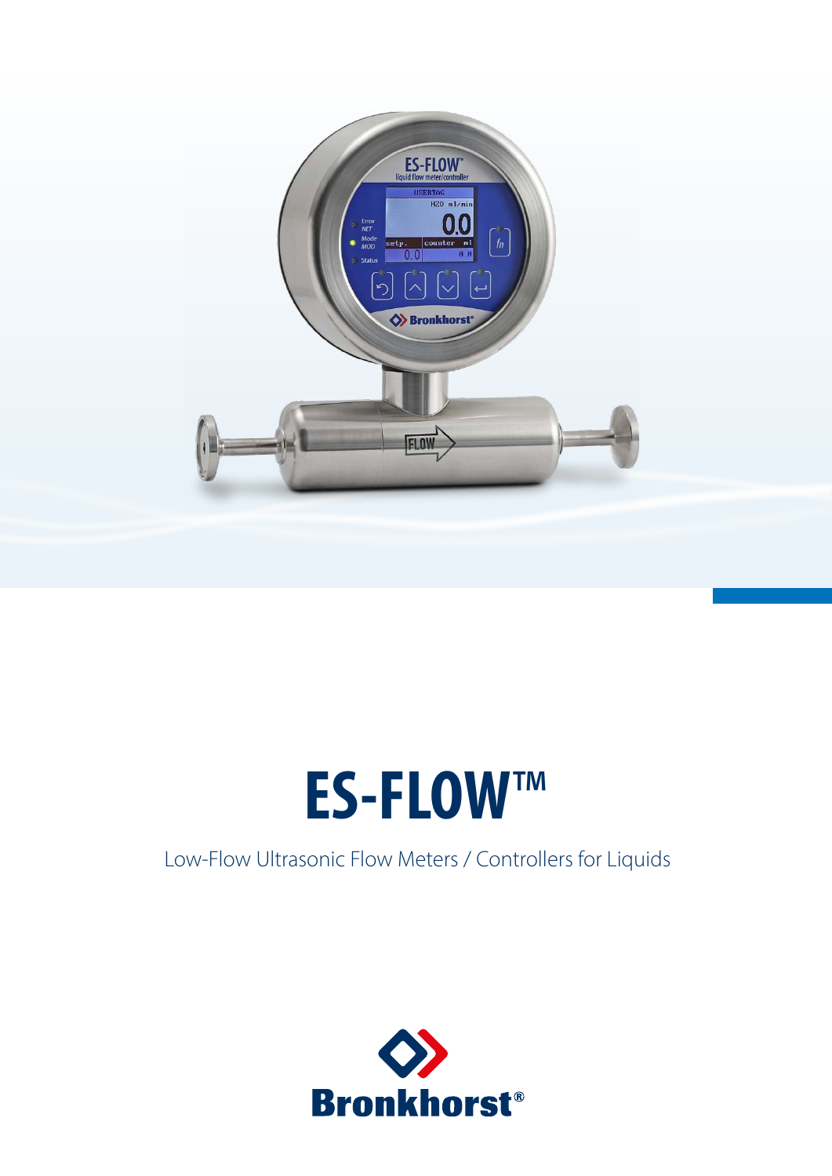

# **ES-FLOW**™

# Low-Flow Ultrasonic Flow Meters / Controllers for Liquids

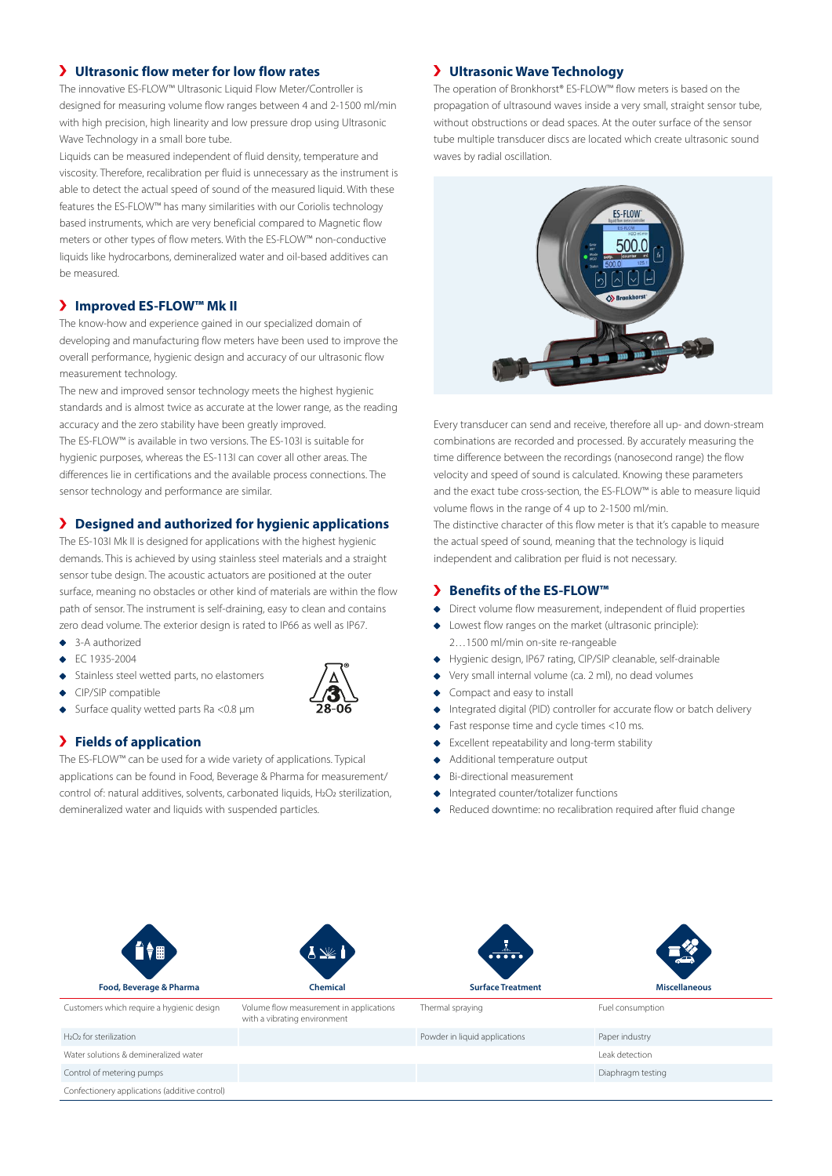# **Ultrasonic flow meter for low flow rates**

The innovative ES-FLOW™ Ultrasonic Liquid Flow Meter/Controller is designed for measuring volume flow ranges between 4 and 2-1500 ml/min with high precision, high linearity and low pressure drop using Ultrasonic Wave Technology in a small bore tube.

Liquids can be measured independent of fluid density, temperature and viscosity. Therefore, recalibration per fluid is unnecessary as the instrument is able to detect the actual speed of sound of the measured liquid. With these features the ES-FLOW™ has many similarities with our Coriolis technology based instruments, which are very beneficial compared to Magnetic flow meters or other types of flow meters. With the ES-FLOW™ non-conductive liquids like hydrocarbons, demineralized water and oil-based additives can be measured.

# **Improved ES-FLOW™ Mk II**

The know-how and experience gained in our specialized domain of developing and manufacturing flow meters have been used to improve the overall performance, hygienic design and accuracy of our ultrasonic flow measurement technology.

The new and improved sensor technology meets the highest hygienic standards and is almost twice as accurate at the lower range, as the reading accuracy and the zero stability have been greatly improved.

The ES-FLOW™ is available in two versions. The ES-103I is suitable for hygienic purposes, whereas the ES-113I can cover all other areas. The differences lie in certifications and the available process connections. The sensor technology and performance are similar.

# **Designed and authorized for hygienic applications**

The ES-103I Mk II is designed for applications with the highest hygienic demands. This is achieved by using stainless steel materials and a straight sensor tube design. The acoustic actuators are positioned at the outer surface, meaning no obstacles or other kind of materials are within the flow path of sensor. The instrument is self-draining, easy to clean and contains zero dead volume. The exterior design is rated to IP66 as well as IP67.

- ◆ 3-A authorized
- EC 1935-2004
- Stainless steel wetted parts, no elastomers
- ◆ CIP/SIP compatible
- ◆ Surface quality wetted parts Ra <0.8 µm

# **Fields of application**

The ES-FLOW™ can be used for a wide variety of applications. Typical applications can be found in Food, Beverage & Pharma for measurement/ control of: natural additives, solvents, carbonated liquids, H<sub>2</sub>O<sub>2</sub> sterilization, demineralized water and liquids with suspended particles.

#### **Ultrasonic Wave Technology**

The operation of Bronkhorst® ES-FLOW™ flow meters is based on the propagation of ultrasound waves inside a very small, straight sensor tube, without obstructions or dead spaces. At the outer surface of the sensor tube multiple transducer discs are located which create ultrasonic sound waves by radial oscillation.



Every transducer can send and receive, therefore all up- and down-stream combinations are recorded and processed. By accurately measuring the time difference between the recordings (nanosecond range) the flow velocity and speed of sound is calculated. Knowing these parameters and the exact tube cross-section, the ES-FLOW™ is able to measure liquid volume flows in the range of 4 up to 2-1500 ml/min.

The distinctive character of this flow meter is that it's capable to measure the actual speed of sound, meaning that the technology is liquid independent and calibration per fluid is not necessary.

#### **Benefits of the ES-FLOW™**

- Direct volume flow measurement, independent of fluid properties
- Lowest flow ranges on the market (ultrasonic principle): 2…1500 ml/min on-site re-rangeable
- Hygienic design, IP67 rating, CIP/SIP cleanable, self-drainable
- Very small internal volume (ca. 2 ml), no dead volumes
- Compact and easy to install
- Integrated digital (PID) controller for accurate flow or batch delivery
- Fast response time and cycle times <10 ms.
- Excellent repeatability and long-term stability
- Additional temperature output
- Bi-directional measurement
- Integrated counter/totalizer functions
- Reduced downtime: no recalibration required after fluid change

| ▌ॏ                                              | $\underline{\mathbb{W}}$                                                | $\overline{\cdots}$           | يت                   |
|-------------------------------------------------|-------------------------------------------------------------------------|-------------------------------|----------------------|
| Food, Beverage & Pharma                         | <b>Chemical</b>                                                         | <b>Surface Treatment</b>      | <b>Miscellaneous</b> |
| Customers which require a hygienic design       | Volume flow measurement in applications<br>with a vibrating environment | Thermal spraying              | Fuel consumption     |
| H <sub>2</sub> O <sub>2</sub> for sterilization |                                                                         | Powder in liquid applications | Paper industry       |
| Water solutions & demineralized water           |                                                                         |                               | Leak detection       |
| Control of metering pumps                       |                                                                         |                               | Diaphragm testing    |
| Confectionery applications (additive control)   |                                                                         |                               |                      |

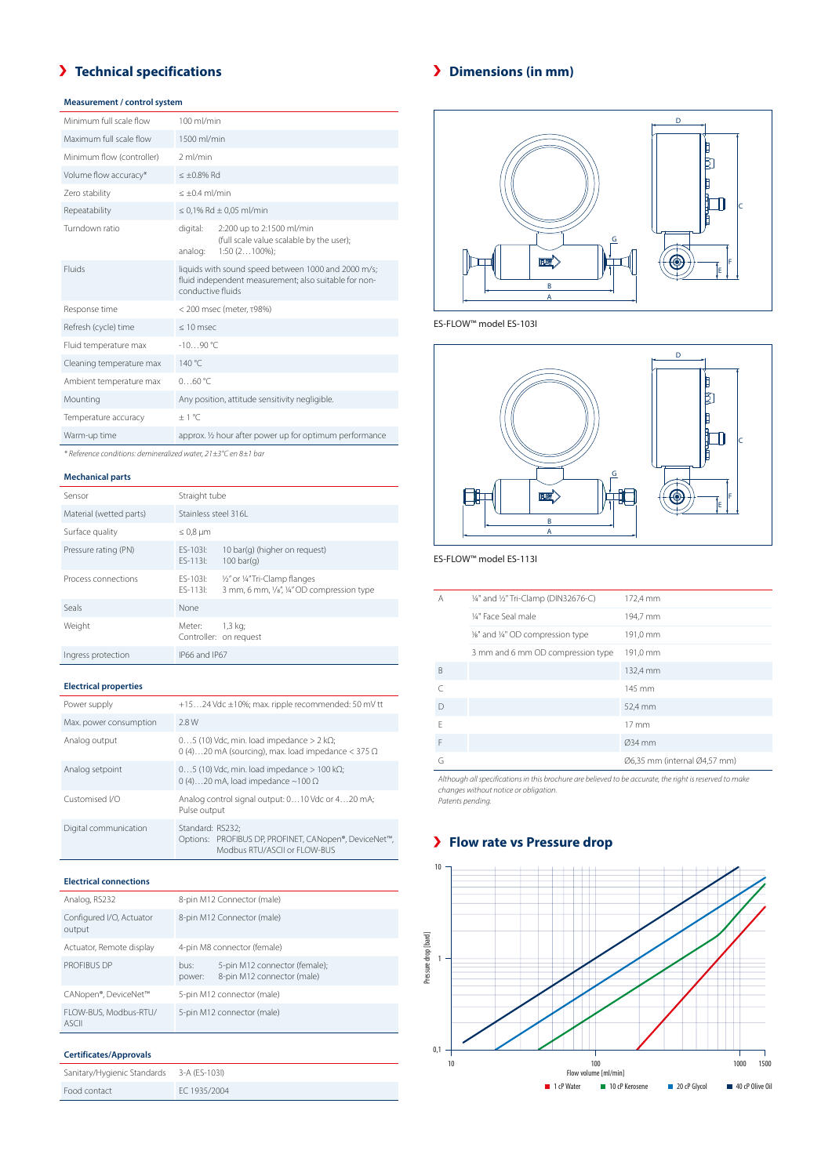# **Technical specifications**

# **Measurement / control system**

| Minimum full scale flow   | 100 ml/min                                                                                                                        |  |
|---------------------------|-----------------------------------------------------------------------------------------------------------------------------------|--|
| Maximum full scale flow   | 1500 ml/min                                                                                                                       |  |
| Minimum flow (controller) | 2 ml/min                                                                                                                          |  |
| Volume flow accuracy*     | $\leq \pm 0.8\%$ Rd                                                                                                               |  |
| Zero stability            | $< +0.4$ ml/min                                                                                                                   |  |
| Repeatability             | $\leq$ 0,1% Rd $\pm$ 0,05 ml/min                                                                                                  |  |
| Turndown ratio            | digital:<br>2:200 up to 2:1500 ml/min<br>(full scale value scalable by the user);<br>$1:50(2100\%)$ ;<br>analog:                  |  |
| Fluids                    | liquids with sound speed between 1000 and 2000 m/s;<br>fluid independent measurement; also suitable for non-<br>conductive fluids |  |
| Response time             | < 200 msec (meter, τ98%)                                                                                                          |  |
| Refresh (cycle) time      | $\leq 10$ msec                                                                                                                    |  |
| Fluid temperature max     | $-10.90$ °C                                                                                                                       |  |
| Cleaning temperature max  | 140 °C                                                                                                                            |  |
| Ambient temperature max   | 060 °C                                                                                                                            |  |
| Mounting                  | Any position, attitude sensitivity negligible.                                                                                    |  |
| Temperature accuracy      | $+1$ °C                                                                                                                           |  |
| Warm-up time              | approx. 1/2 hour after power up for optimum performance                                                                           |  |

*\* Reference conditions: demineralized water, 21±3°C en 8±1 bar*

#### **Mechanical parts**

| Sensor                  | Straight tube          |                                                                              |
|-------------------------|------------------------|------------------------------------------------------------------------------|
| Material (wetted parts) | Stainless steel 316L   |                                                                              |
| Surface quality         | $\leq 0.8$ µm          |                                                                              |
| Pressure rating (PN)    | FS-103I:<br>$FS-1131:$ | 10 bar(g) (higher on reguest)<br>$100 \text{ bar}(q)$                        |
| Process connections     | FS-103I:<br>FS-113I:   | 1/2" or 1/4" Tri-Clamp flanges<br>3 mm, 6 mm, 1/s", 1/4" OD compression type |
| Seals                   | None                   |                                                                              |
| Weight                  | Meter:                 | 1,3 kg;<br>Controller: on request                                            |
| Ingress protection      | IP66 and IP67          |                                                                              |

#### **Electrical properties**

| Power supply           | +1524 Vdc ±10%; max. ripple recommended: 50 mV tt                                                                  |
|------------------------|--------------------------------------------------------------------------------------------------------------------|
| Max. power consumption | 2.8W                                                                                                               |
| Analog output          | $05$ (10) Vdc, min. load impedance > 2 k $\Omega$ ;<br>0 (4)20 mA (sourcing), max. load impedance $<$ 375 $\Omega$ |
| Analog setpoint        | $05$ (10) Vdc, min. load impedance > 100 k $\Omega$ ;<br>0 (4)20 mA, load impedance $\sim$ 100 $\Omega$            |
| Customised I/O         | Analog control signal output: 010 Vdc or 420 mA;<br>Pulse output                                                   |
| Digital communication  | Standard: RS232:<br>Options: PROFIBUS DP, PROFINET, CANopen®, DeviceNet™,<br>Modbus RTU/ASCII or FLOW-BUS          |

#### **Electrical connections**

| Analog, RS232                         |                            | 8-pin M12 Connector (male)                                  |
|---------------------------------------|----------------------------|-------------------------------------------------------------|
| Configured I/O, Actuator<br>output    | 8-pin M12 Connector (male) |                                                             |
| Actuator, Remote display              |                            | 4-pin M8 connector (female)                                 |
| PROFIBUS DP                           | bus:<br>power:             | 5-pin M12 connector (female);<br>8-pin M12 connector (male) |
| CANopen®, DeviceNet™                  |                            | 5-pin M12 connector (male)                                  |
| FLOW-BUS, Modbus-RTU/<br><b>ASCII</b> |                            | 5-pin M12 connector (male)                                  |

#### **Certificates/Approvals**

| Sanitary/Hygienic Standards | 3-A (ES-103I) |
|-----------------------------|---------------|
| Food contact                | EC 1935/2004  |

# **Dimensions (in mm)**



ES-FLOW™ model ES-103I



#### ES-FLOW™ model ES-113I

| A      | 1/4" and 1/2" Tri-Clamp (DIN32676-C) | 172,4 mm                     |
|--------|--------------------------------------|------------------------------|
|        | 1/4" Face Seal male                  | 194,7 mm                     |
|        | 1/8" and 1/4" OD compression type    | 191,0 mm                     |
|        | 3 mm and 6 mm OD compression type    | 191,0 mm                     |
| B      |                                      | 132,4 mm                     |
| C      |                                      | 145 mm                       |
| $\Box$ |                                      | 52,4 mm                      |
| F      |                                      | $17 \text{ mm}$              |
| F      |                                      | Ø34 mm                       |
| G      |                                      | Ø6,35 mm (internal Ø4,57 mm) |

*Although all specifications in this brochure are believed to be accurate, the right is reserved to make changes without notice or obligation. Patents pending.*

# **Flow rate vs Pressure drop**

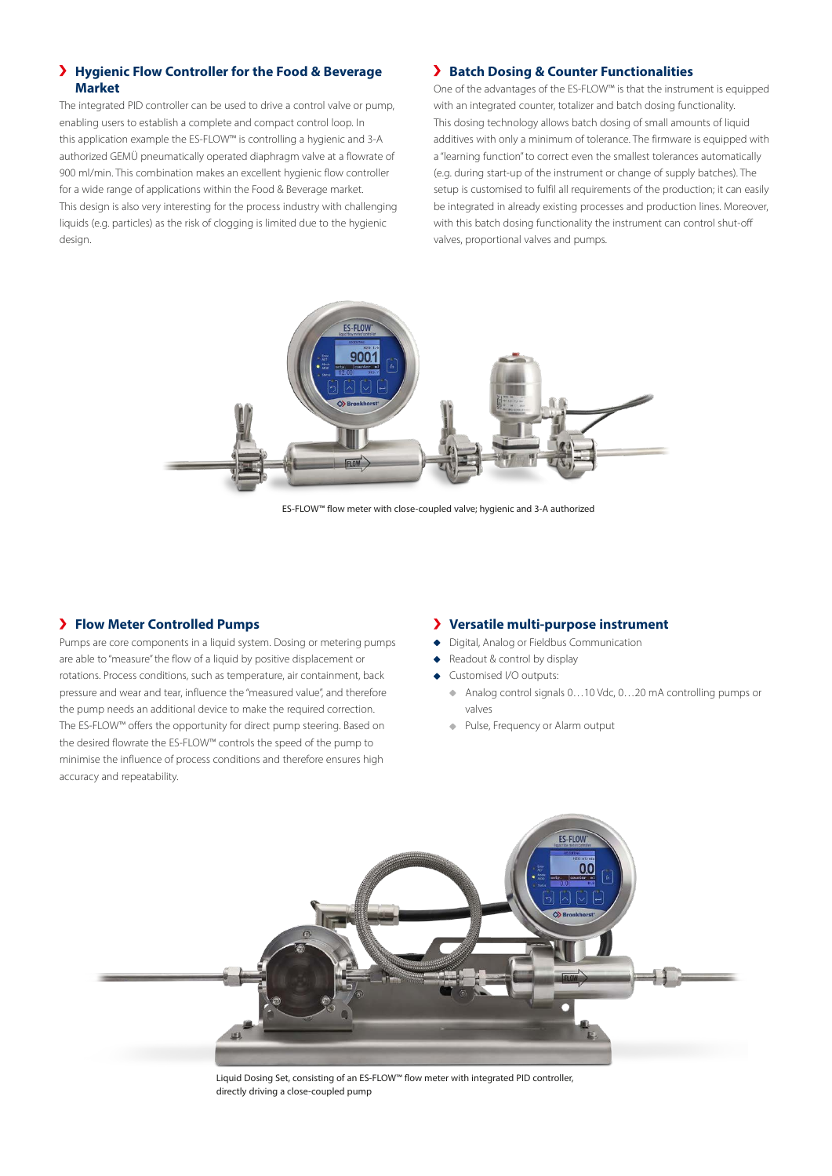# **Hygienic Flow Controller for the Food & Beverage Market**

The integrated PID controller can be used to drive a control valve or pump, enabling users to establish a complete and compact control loop. In this application example the ES-FLOW™ is controlling a hygienic and 3-A authorized GEMÜ pneumatically operated diaphragm valve at a flowrate of 900 ml/min. This combination makes an excellent hygienic flow controller for a wide range of applications within the Food & Beverage market. This design is also very interesting for the process industry with challenging liquids (e.g. particles) as the risk of clogging is limited due to the hygienic design.

#### **Batch Dosing & Counter Functionalities**

One of the advantages of the ES-FLOW™ is that the instrument is equipped with an integrated counter, totalizer and batch dosing functionality. This dosing technology allows batch dosing of small amounts of liquid additives with only a minimum of tolerance. The firmware is equipped with a "learning function" to correct even the smallest tolerances automatically (e.g. during start-up of the instrument or change of supply batches). The setup is customised to fulfil all requirements of the production; it can easily be integrated in already existing processes and production lines. Moreover, with this batch dosing functionality the instrument can control shut-off valves, proportional valves and pumps.



ES-FLOW™ flow meter with close-coupled valve; hygienic and 3-A authorized

## **Flow Meter Controlled Pumps**

Pumps are core components in a liquid system. Dosing or metering pumps are able to "measure" the flow of a liquid by positive displacement or rotations. Process conditions, such as temperature, air containment, back pressure and wear and tear, influence the "measured value", and therefore the pump needs an additional device to make the required correction. The ES-FLOW™ offers the opportunity for direct pump steering. Based on the desired flowrate the ES-FLOW™ controls the speed of the pump to minimise the influence of process conditions and therefore ensures high accuracy and repeatability.

#### **Versatile multi-purpose instrument**

- Digital, Analog or Fieldbus Communication
- Readout & control by display
- Customised I/O outputs:
	- ◆ Analog control signals 0...10 Vdc, 0...20 mA controlling pumps or valves
	- Pulse, Frequency or Alarm output



Liquid Dosing Set, consisting of an ES-FLOW™ flow meter with integrated PID controller, directly driving a close-coupled pump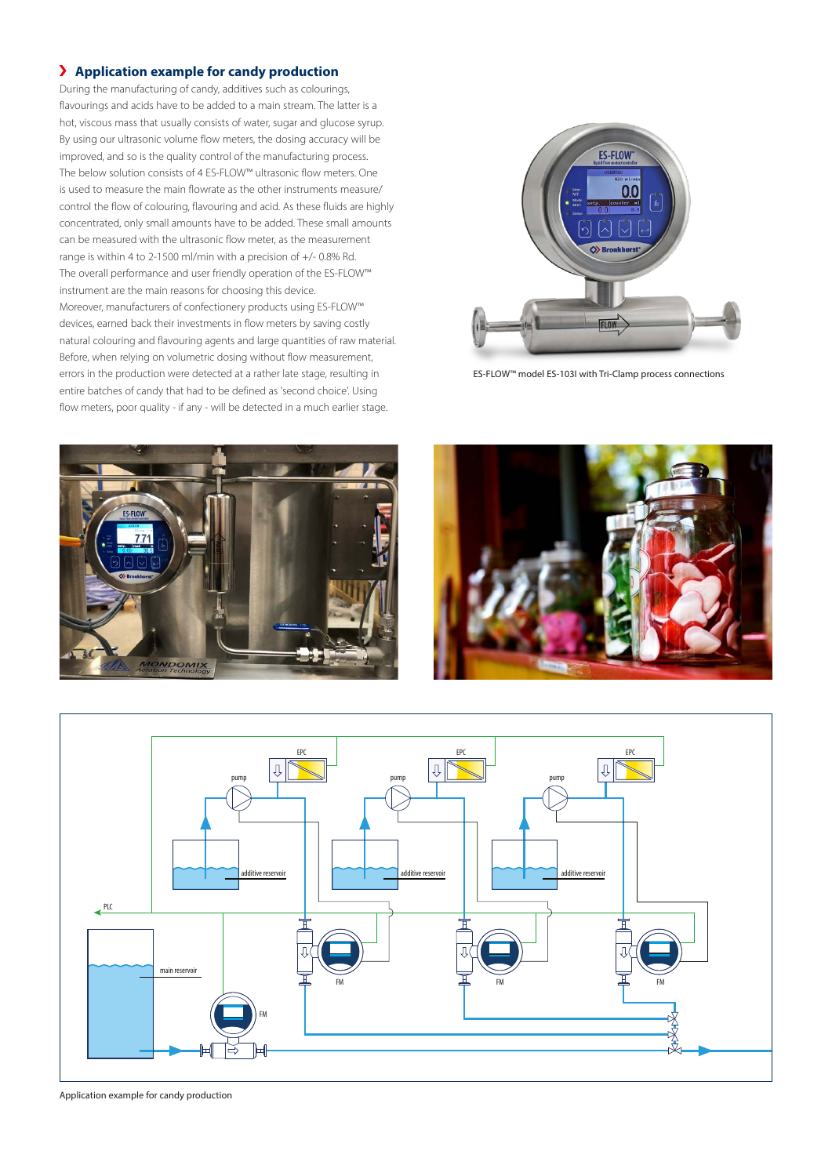# **Application example for candy production**

During the manufacturing of candy, additives such as colourings, flavourings and acids have to be added to a main stream. The latter is a hot, viscous mass that usually consists of water, sugar and glucose syrup. By using our ultrasonic volume flow meters, the dosing accuracy will be improved, and so is the quality control of the manufacturing process. The below solution consists of 4 ES-FLOW™ ultrasonic flow meters. One is used to measure the main flowrate as the other instruments measure/ control the flow of colouring, flavouring and acid. As these fluids are highly concentrated, only small amounts have to be added. These small amounts can be measured with the ultrasonic flow meter, as the measurement range is within 4 to 2-1500 ml/min with a precision of +/- 0.8% Rd. The overall performance and user friendly operation of the ES-FLOW™ instrument are the main reasons for choosing this device. Moreover, manufacturers of confectionery products using ES-FLOW™ devices, earned back their investments in flow meters by saving costly natural colouring and flavouring agents and large quantities of raw material. Before, when relying on volumetric dosing without flow measurement, errors in the production were detected at a rather late stage, resulting in entire batches of candy that had to be defined as 'second choice'. Using flow meters, poor quality - if any - will be detected in a much earlier stage.



ES-FLOW™ model ES-103I with Tri-Clamp process connections







Application example for candy production